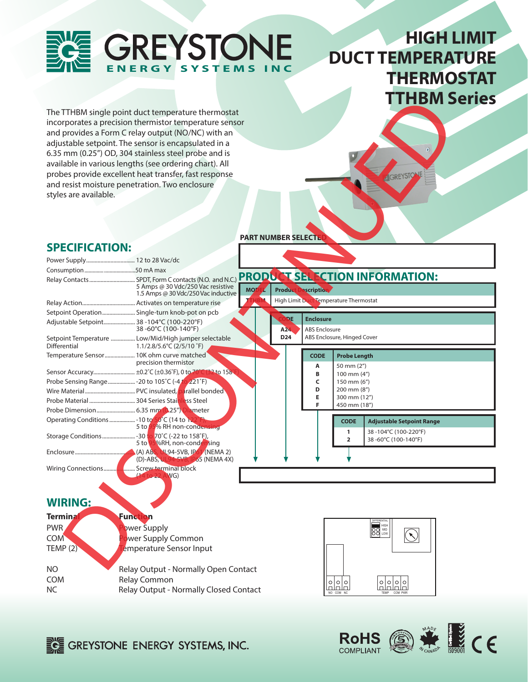# **GREYSTONE** ERGY SYSTEMS

# **HIGH LIMIT DUCT TEMPERATURE THERMOSTAT TTHBM Series**

The TTHBM single point duct temperature thermostat incorporates a precision thermistor temperature sensor and provides a Form C relay output (NO/NC) with an adjustable setpoint. The sensor is encapsulated in a 6.35 mm (0.25") OD, 304 stainless steel probe and is available in various lengths (see ordering chart). All probes provide excellent heat transfer, fast response and resist moisture penetration. Two enclosure styles are available.

**SPECIFICATION:** 



**PART NUMBER SELECTE** 

#### The THEM single point duct temperature thermodation<br>
and provides a form Creby output (NO/K) with an<br>
end provides a form Creby output (NO/K) with an<br>
end duct the month of the month of the month of the month of the month Power Supply.................................. 12 to 28 Vac/dc Consumption.............. .......................50 mA max Relay Contacts................................ SPDT, Form C contacts (N.O. and N.C.) **PRODUCT SELECTION INFORMATION:** 5 Amps @ 30 Vdc/250 Vac resistive **MODEL Product Description** 1.5 Amps @ 30 Vdc/250 Vac inductive **High Limit Duct Temperature Thermostat** Relay Action..................................... Activates on temperature rise Setpoint Operation....................... Single-turn knob-pot on pcb **Enclosure** Adjustable Setpoint...................... 38 -104°C (100-220°F) 38 -60°C (100-140°F) A<sub>24</sub> ABS Enclosure **D24** ABS Enclosure, Hinged Cover Setpoint Temperature ................... Low/Mid/High jumper selectable<br>Differential 1.1/2.8/5.6°C (2/5/10 °F) Dierential 1.1/2.8/5.6°C (2/5/10 ˚F) Temperature Sensor..................... 10K ohm curve matched **CODE Probe Length** precision thermistor **A** 50 mm (2") Sensor Accuracy............................... ±0.2°C (±0.36°F), 0 to 70°C (32 to 158 **B** 100 mm  $(4")$ Probe Sensing Range................... -20 to 105˚C (-4 to 221˚F) **C**  $\begin{bmatrix} 150 \text{ mm } (6^n) \\ 200 \text{ mm } (8^n) \end{bmatrix}$  **D** 200 mm (8") Wire Material................................... PVC insulated, parallel bonded  **E** 300 mm (12") Probe Material ................................ 304 Series Stainless Steel  **F** 450 mm (18") Probe Dimension........................... 6.35 mm (0.25") Diameter ... -10 to 50°C (14 to 122°<br>5 to 95% RH non-cond Operating Conditions.............. **CODE Adjustable Setpoint Range 1** 38 -104°C (100-220°F) Storage Conditions....................... -30 to 70˚C (-22 to 158˚F), **2** 38 -60°C (100-140°F) 5 to 95%RH, non-condensing Enclosure.......................................... (A) ABS, UL94-5VB, IP61 (NEMA 2) **P65** (NEMA 4X) Wiring Connections...................... Screw terminal block  $W$ G) **Terminal Function**  DIFFERENTIAL PWR Power Supply HIGH MID LOW COM Power Supply Common TEMP (2) Temperature Sensor Input NO Relay Output - Normally Open Contact COM Relay Common  $\begin{array}{c} \circ \\ \circ \\ \end{array}$  $\frac{1}{2}$

NC Relay Output - Normally Closed Contact

**EGE GREYSTONE ENERGY SYSTEMS, INC.** 



NO COM NC TEMP COM PWR